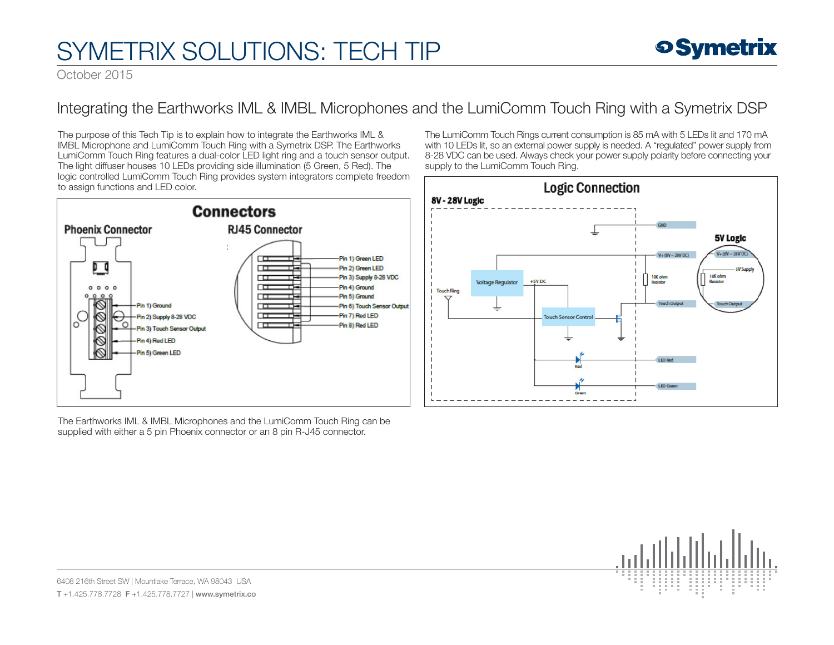## SYMETRIX SOLUTIONS: TECH TIP

October 2015

## Integrating the Earthworks IML & IMBL Microphones and the LumiComm Touch Ring with a Symetrix DSP

The purpose of this Tech Tip is to explain how to integrate the Earthworks IML & IMBL Microphone and LumiComm Touch Ring with a Symetrix DSP. The Earthworks LumiComm Touch Ring features a dual-color LED light ring and a touch sensor output. The light diffuser houses 10 LEDs providing side illumination (5 Green, 5 Red). The logic controlled LumiComm Touch Ring provides system integrators complete freedom to assign functions and LED color.



The Earthworks IML & IMBL Microphones and the LumiComm Touch Ring can be supplied with either a 5 pin Phoenix connector or an 8 pin R-J45 connector.

The LumiComm Touch Rings current consumption is 85 mA with 5 LEDs lit and 170 mA with 10 LEDs lit, so an external power supply is needed. A "regulated" power supply from 8-28 VDC can be used. Always check your power supply polarity before connecting your supply to the LumiComm Touch Ring.





6408 216th Street SW | Mountlake Terrace, WA 98043 USA T +1.425.778.7728 F +1.425.778.7727 | www.symetrix.co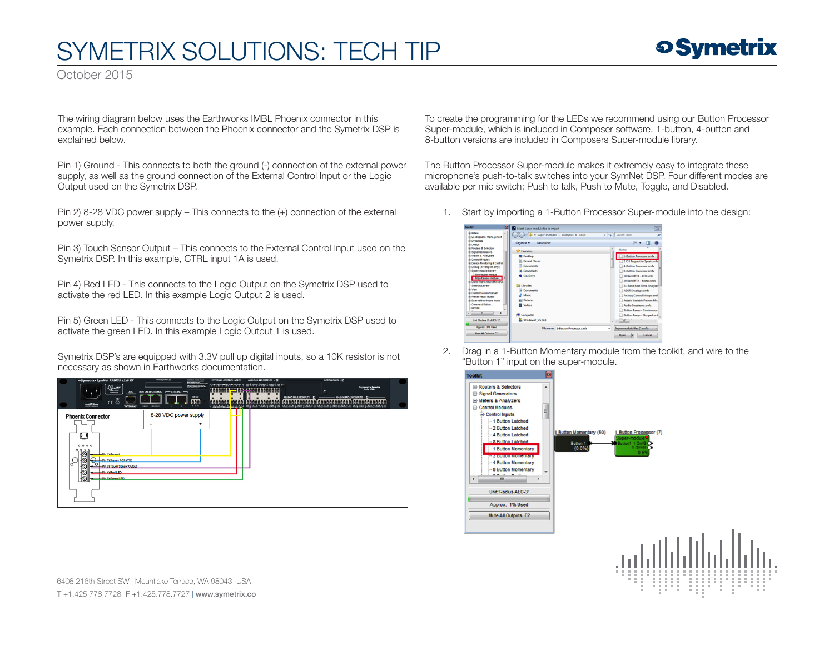## SYMETRIX SOLUTIONS: TECH TIP



October 2015

The wiring diagram below uses the Earthworks IMBL Phoenix connector in this example. Each connection between the Phoenix connector and the Symetrix DSP is explained below.

Pin 1) Ground - This connects to both the ground (-) connection of the external power supply, as well as the ground connection of the External Control Input or the Logic Output used on the Symetrix DSP.

Pin 2) 8-28 VDC power supply – This connects to the (+) connection of the external power supply.

Pin 3) Touch Sensor Output – This connects to the External Control Input used on the Symetrix DSP. In this example, CTRL input 1A is used.

Pin 4) Red LED - This connects to the Logic Output on the Symetrix DSP used to activate the red LED. In this example Logic Output 2 is used.

Pin 5) Green LED - This connects to the Logic Output on the Symetrix DSP used to activate the green LED. In this example Logic Output 1 is used.

Symetrix DSP's are equipped with 3.3V pull up digital inputs, so a 10K resistor is not necessary as shown in Earthworks documentation.



To create the programming for the LEDs we recommend using our Button Processor Super-module, which is included in Composer software. 1-button, 4-button and 8-button versions are included in Composers Super-module library.

The Button Processor Super-module makes it extremely easy to integrate these microphone's push-to-talk switches into your SymNet DSP. Four different modes are available per mic switch; Push to talk, Push to Mute, Toggle, and Disabled.

1. Start by importing a 1-Button Processor Super-module into the design:



2. Drag in a 1-Button Momentary module from the toolkit, and wire to the "Button 1" input on the super-module.